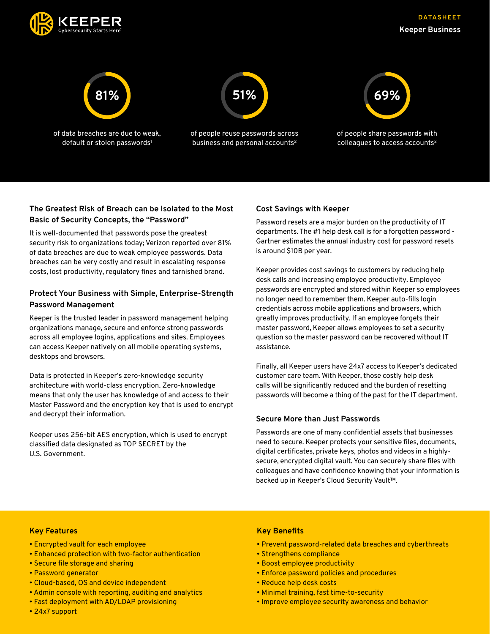



# **The Greatest Risk of Breach can be Isolated to the Most Basic of Security Concepts, the "Password"**

It is well-documented that passwords pose the greatest security risk to organizations today; Verizon reported over 81% of data breaches are due to weak employee passwords. Data breaches can be very costly and result in escalating response costs, lost productivity, regulatory fines and tarnished brand.

## **Protect Your Business with Simple, Enterprise-Strength Password Management**

Keeper is the trusted leader in password management helping organizations manage, secure and enforce strong passwords across all employee logins, applications and sites. Employees can access Keeper natively on all mobile operating systems, desktops and browsers.

Data is protected in Keeper's zero-knowledge security architecture with world-class encryption. Zero-knowledge means that only the user has knowledge of and access to their Master Password and the encryption key that is used to encrypt and decrypt their information.

Keeper uses 256-bit AES encryption, which is used to encrypt classified data designated as TOP SECRET by the U.S. Government.

## **Cost Savings with Keeper**

Password resets are a major burden on the productivity of IT departments. The #1 help desk call is for a forgotten password - Gartner estimates the annual industry cost for password resets is around \$10B per year.

Keeper provides cost savings to customers by reducing help desk calls and increasing employee productivity. Employee passwords are encrypted and stored within Keeper so employees no longer need to remember them. Keeper auto-fills login credentials across mobile applications and browsers, which greatly improves productivity. If an employee forgets their master password, Keeper allows employees to set a security question so the master password can be recovered without IT assistance.

Finally, all Keeper users have 24x7 access to Keeper's dedicated customer care team. With Keeper, those costly help desk calls will be significantly reduced and the burden of resetting passwords will become a thing of the past for the IT department.

## **Secure More than Just Passwords**

Passwords are one of many confidential assets that businesses need to secure. Keeper protects your sensitive files, documents, digital certificates, private keys, photos and videos in a highlysecure, encrypted digital vault. You can securely share files with colleagues and have confidence knowing that your information is backed up in Keeper's Cloud Security Vault™.

## **Key Features**

- Encrypted vault for each employee
- Enhanced protection with two-factor authentication
- Secure file storage and sharing
- Password generator
- Cloud-based, OS and device independent
- Admin console with reporting, auditing and analytics
- Fast deployment with AD/LDAP provisioning
- 24x7 support

## **Key Benefits**

- Prevent password-related data breaches and cyberthreats
- Strengthens compliance
- Boost employee productivity
- Enforce password policies and procedures
- Reduce help desk costs
- Minimal training, fast time-to-security
- Improve employee security awareness and behavior